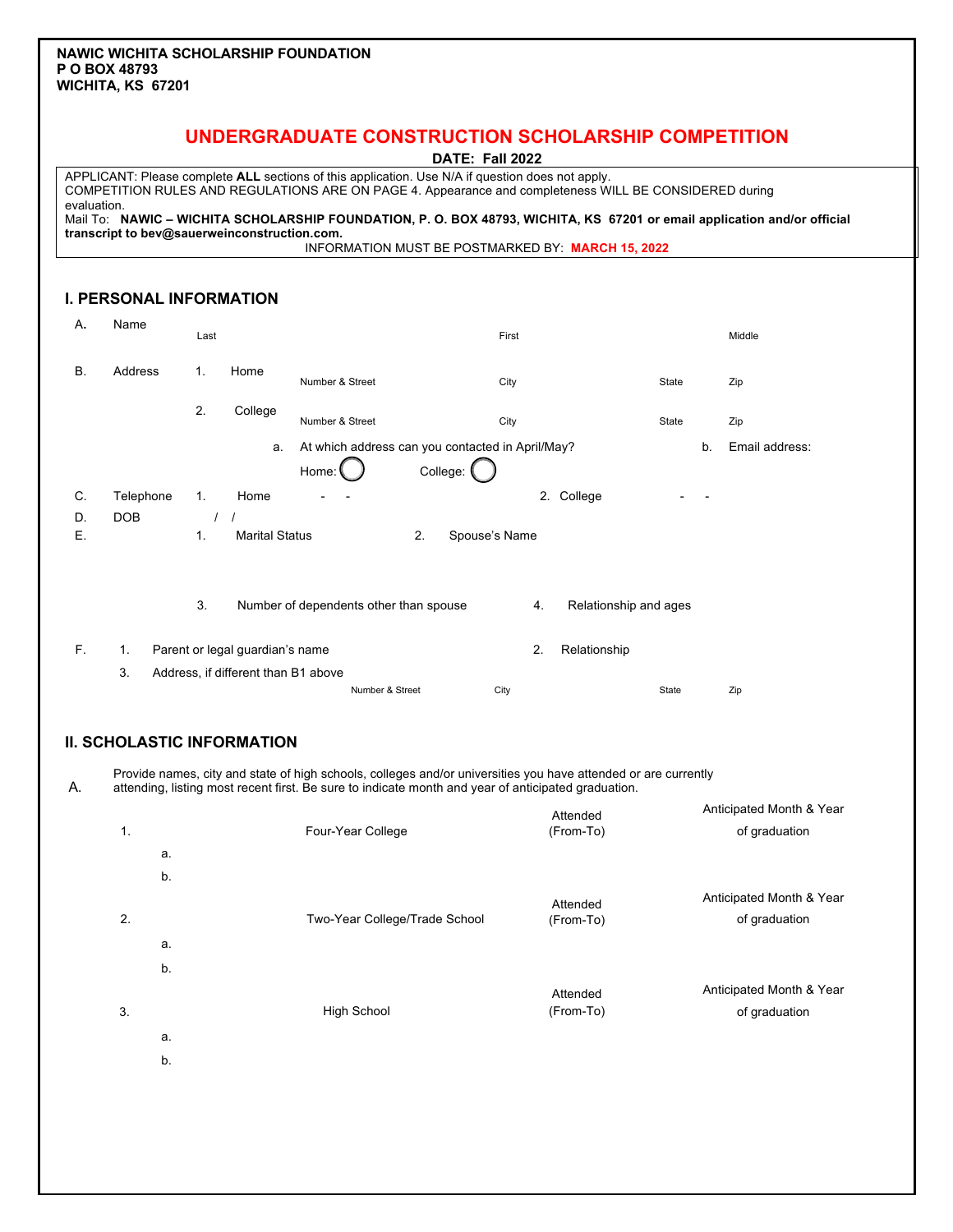## **UNDERGRADUATE CONSTRUCTION SCHOLARSHIP COMPETITION**

| DATE: Fall 2022 |  |  |
|-----------------|--|--|
|-----------------|--|--|

APPLICANT: Please complete **ALL** sections of this application. Use N/A if question does not apply. COMPETITION RULES AND REGULATIONS ARE ON PAGE 4. Appearance and completeness WILL BE CONSIDERED during evaluation. Mail To: **NAWIC – WICHITA SCHOLARSHIP FOUNDATION, P. O. BOX 48793, WICHITA, KS 67201 or email application and/or official transcript to bev@sauerweinconstruction.com.**

INFORMATION MUST BE POSTMARKED BY: **MARCH 15, 2022**

#### **I. PERSONAL INFORMATION**

| Α. | Name      | Last |                                     |                                                  |          | First         |    |                       |              |    | Middle         |
|----|-----------|------|-------------------------------------|--------------------------------------------------|----------|---------------|----|-----------------------|--------------|----|----------------|
| В. | Address   | 1.   | Home                                | Number & Street                                  |          | City          |    |                       | <b>State</b> |    | Zip            |
|    |           | 2.   | College                             | Number & Street                                  |          | City          |    |                       | State        |    | Zip            |
|    |           |      | a.                                  | At which address can you contacted in April/May? |          |               |    |                       |              | b. | Email address: |
|    |           |      |                                     | Home:                                            | College: |               |    |                       |              |    |                |
| C. | Telephone | 1.   | Home                                |                                                  |          |               | 2. | College               |              |    |                |
| D. | DOB       |      |                                     |                                                  |          |               |    |                       |              |    |                |
| Ε. |           | 1.   | <b>Marital Status</b>               |                                                  | 2.       | Spouse's Name |    |                       |              |    |                |
|    |           | 3.   |                                     | Number of dependents other than spouse           |          |               | 4. | Relationship and ages |              |    |                |
| F. | 1.        |      | Parent or legal guardian's name     |                                                  |          |               | 2. | Relationship          |              |    |                |
|    | 3.        |      | Address, if different than B1 above |                                                  |          |               |    |                       |              |    |                |
|    |           |      |                                     | Number & Street                                  |          | City          |    |                       | State        |    | Zip            |

### **II. SCHOLASTIC INFORMATION**

A. Provide names, city and state of high schools, colleges and/or universities you have attended or are currently attending, listing most recent first. Be sure to indicate month and year of anticipated graduation.

| 1.               |    | Four-Year College             | Attended<br>(From-To) | Anticipated Month & Year<br>of graduation |
|------------------|----|-------------------------------|-----------------------|-------------------------------------------|
|                  | a. |                               |                       |                                           |
|                  | b. |                               |                       |                                           |
| $\overline{2}$ . |    | Two-Year College/Trade School | Attended<br>(From-To) | Anticipated Month & Year<br>of graduation |
|                  | a. |                               |                       |                                           |
|                  | b. |                               |                       |                                           |
| 3.               |    | <b>High School</b>            | Attended<br>(From-To) | Anticipated Month & Year<br>of graduation |
|                  | a. |                               |                       |                                           |
|                  | ь. |                               |                       |                                           |

b.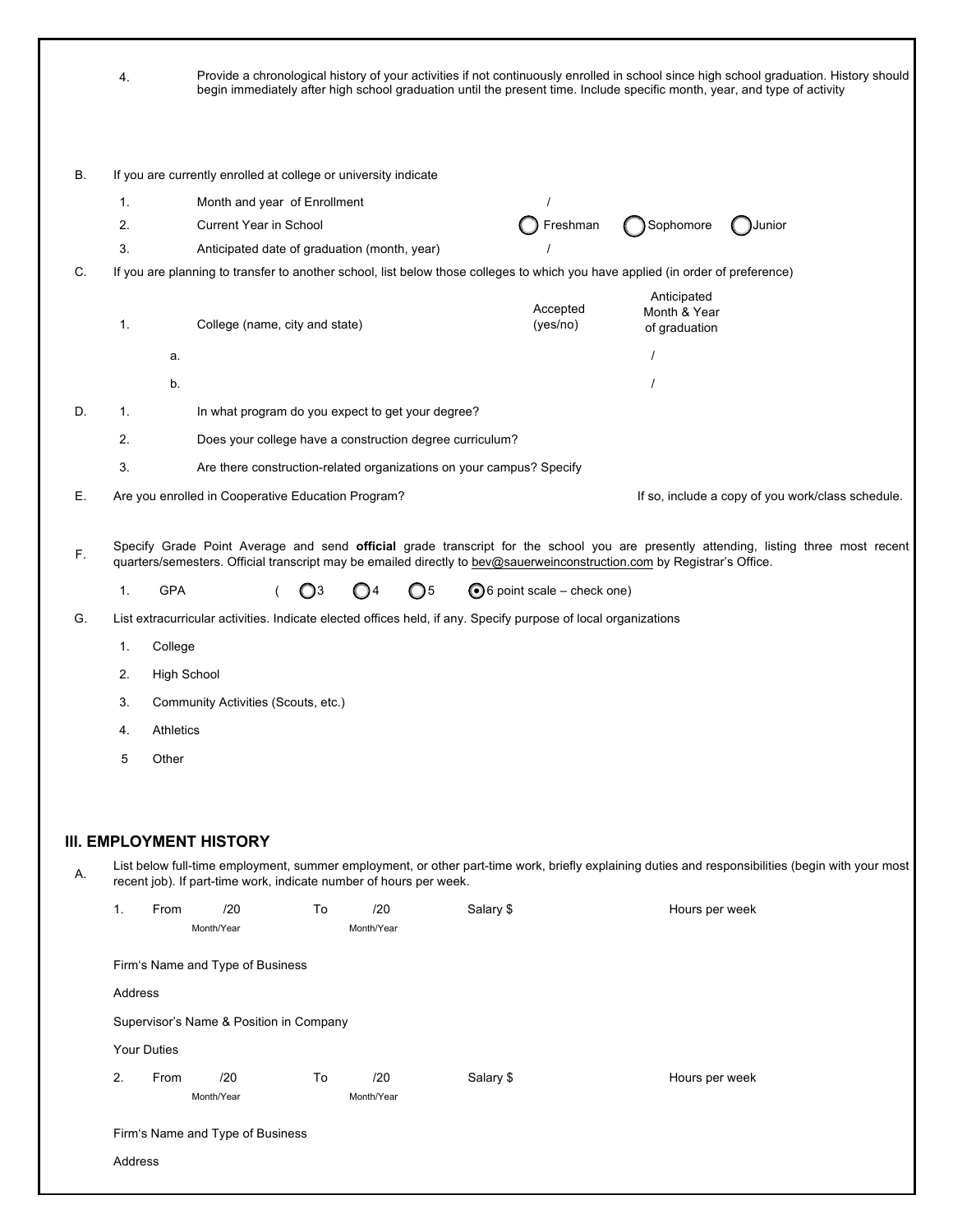|    | 4.                 |                                                                                                                                 |    |                                                   |                                                                      |                                       |                                              | Provide a chronological history of your activities if not continuously enrolled in school since high school graduation. History should<br>begin immediately after high school graduation until the present time. Include specific month, year, and type of activity |
|----|--------------------|---------------------------------------------------------------------------------------------------------------------------------|----|---------------------------------------------------|----------------------------------------------------------------------|---------------------------------------|----------------------------------------------|---------------------------------------------------------------------------------------------------------------------------------------------------------------------------------------------------------------------------------------------------------------------|
| В. |                    | If you are currently enrolled at college or university indicate                                                                 |    |                                                   |                                                                      |                                       |                                              |                                                                                                                                                                                                                                                                     |
|    | 1.                 | Month and year of Enrollment                                                                                                    |    |                                                   |                                                                      | $\prime$                              |                                              |                                                                                                                                                                                                                                                                     |
|    | 2.                 | <b>Current Year in School</b>                                                                                                   |    |                                                   |                                                                      | Freshman                              | Sophomore                                    | Junior                                                                                                                                                                                                                                                              |
|    | 3.                 |                                                                                                                                 |    | Anticipated date of graduation (month, year)      |                                                                      |                                       |                                              |                                                                                                                                                                                                                                                                     |
| C. |                    | If you are planning to transfer to another school, list below those colleges to which you have applied (in order of preference) |    |                                                   |                                                                      |                                       |                                              |                                                                                                                                                                                                                                                                     |
|    | 1.                 | College (name, city and state)                                                                                                  |    |                                                   |                                                                      | Accepted<br>(yes/no)                  | Anticipated<br>Month & Year<br>of graduation |                                                                                                                                                                                                                                                                     |
|    |                    | a.                                                                                                                              |    |                                                   |                                                                      |                                       |                                              |                                                                                                                                                                                                                                                                     |
|    |                    | b.                                                                                                                              |    |                                                   |                                                                      |                                       |                                              |                                                                                                                                                                                                                                                                     |
| D. | 1.                 |                                                                                                                                 |    | In what program do you expect to get your degree? |                                                                      |                                       |                                              |                                                                                                                                                                                                                                                                     |
|    | 2.                 |                                                                                                                                 |    |                                                   | Does your college have a construction degree curriculum?             |                                       |                                              |                                                                                                                                                                                                                                                                     |
|    | 3.                 |                                                                                                                                 |    |                                                   | Are there construction-related organizations on your campus? Specify |                                       |                                              |                                                                                                                                                                                                                                                                     |
| Е. |                    | Are you enrolled in Cooperative Education Program?                                                                              |    |                                                   |                                                                      |                                       |                                              | If so, include a copy of you work/class schedule.                                                                                                                                                                                                                   |
|    |                    |                                                                                                                                 |    |                                                   |                                                                      |                                       |                                              |                                                                                                                                                                                                                                                                     |
| F. |                    | quarters/semesters. Official transcript may be emailed directly to bev@sauerweinconstruction.com by Registrar's Office.         |    |                                                   |                                                                      |                                       |                                              | Specify Grade Point Average and send official grade transcript for the school you are presently attending, listing three most recent                                                                                                                                |
|    | 1.                 | <b>GPA</b>                                                                                                                      | O3 | ◯5<br>( ) 4                                       |                                                                      | $\bigcirc$ 6 point scale – check one) |                                              |                                                                                                                                                                                                                                                                     |
| G. |                    | List extracurricular activities. Indicate elected offices held, if any. Specify purpose of local organizations                  |    |                                                   |                                                                      |                                       |                                              |                                                                                                                                                                                                                                                                     |
|    | 1.                 | College                                                                                                                         |    |                                                   |                                                                      |                                       |                                              |                                                                                                                                                                                                                                                                     |
|    | 2.                 | <b>High School</b>                                                                                                              |    |                                                   |                                                                      |                                       |                                              |                                                                                                                                                                                                                                                                     |
|    | 3.                 | Community Activities (Scouts, etc.)                                                                                             |    |                                                   |                                                                      |                                       |                                              |                                                                                                                                                                                                                                                                     |
|    | 4.                 | Athletics                                                                                                                       |    |                                                   |                                                                      |                                       |                                              |                                                                                                                                                                                                                                                                     |
|    | 5                  | Other                                                                                                                           |    |                                                   |                                                                      |                                       |                                              |                                                                                                                                                                                                                                                                     |
|    |                    |                                                                                                                                 |    |                                                   |                                                                      |                                       |                                              |                                                                                                                                                                                                                                                                     |
|    |                    |                                                                                                                                 |    |                                                   |                                                                      |                                       |                                              |                                                                                                                                                                                                                                                                     |
|    |                    |                                                                                                                                 |    |                                                   |                                                                      |                                       |                                              |                                                                                                                                                                                                                                                                     |
|    |                    | <b>III. EMPLOYMENT HISTORY</b>                                                                                                  |    |                                                   |                                                                      |                                       |                                              |                                                                                                                                                                                                                                                                     |
| А. |                    | recent job). If part-time work, indicate number of hours per week.                                                              |    |                                                   |                                                                      |                                       |                                              | List below full-time employment, summer employment, or other part-time work, briefly explaining duties and responsibilities (begin with your most                                                                                                                   |
|    | 1.                 | From<br>/20<br>Month/Year                                                                                                       | To | /20<br>Month/Year                                 | Salary \$                                                            |                                       | Hours per week                               |                                                                                                                                                                                                                                                                     |
|    |                    | Firm's Name and Type of Business                                                                                                |    |                                                   |                                                                      |                                       |                                              |                                                                                                                                                                                                                                                                     |
|    | Address            |                                                                                                                                 |    |                                                   |                                                                      |                                       |                                              |                                                                                                                                                                                                                                                                     |
|    |                    | Supervisor's Name & Position in Company                                                                                         |    |                                                   |                                                                      |                                       |                                              |                                                                                                                                                                                                                                                                     |
|    | <b>Your Duties</b> |                                                                                                                                 |    |                                                   |                                                                      |                                       |                                              |                                                                                                                                                                                                                                                                     |
|    | 2.                 | /20<br>From                                                                                                                     | To | /20                                               | Salary \$                                                            |                                       | Hours per week                               |                                                                                                                                                                                                                                                                     |
|    |                    | Month/Year                                                                                                                      |    | Month/Year                                        |                                                                      |                                       |                                              |                                                                                                                                                                                                                                                                     |
|    |                    |                                                                                                                                 |    |                                                   |                                                                      |                                       |                                              |                                                                                                                                                                                                                                                                     |
|    |                    | Firm's Name and Type of Business                                                                                                |    |                                                   |                                                                      |                                       |                                              |                                                                                                                                                                                                                                                                     |
|    | Address            |                                                                                                                                 |    |                                                   |                                                                      |                                       |                                              |                                                                                                                                                                                                                                                                     |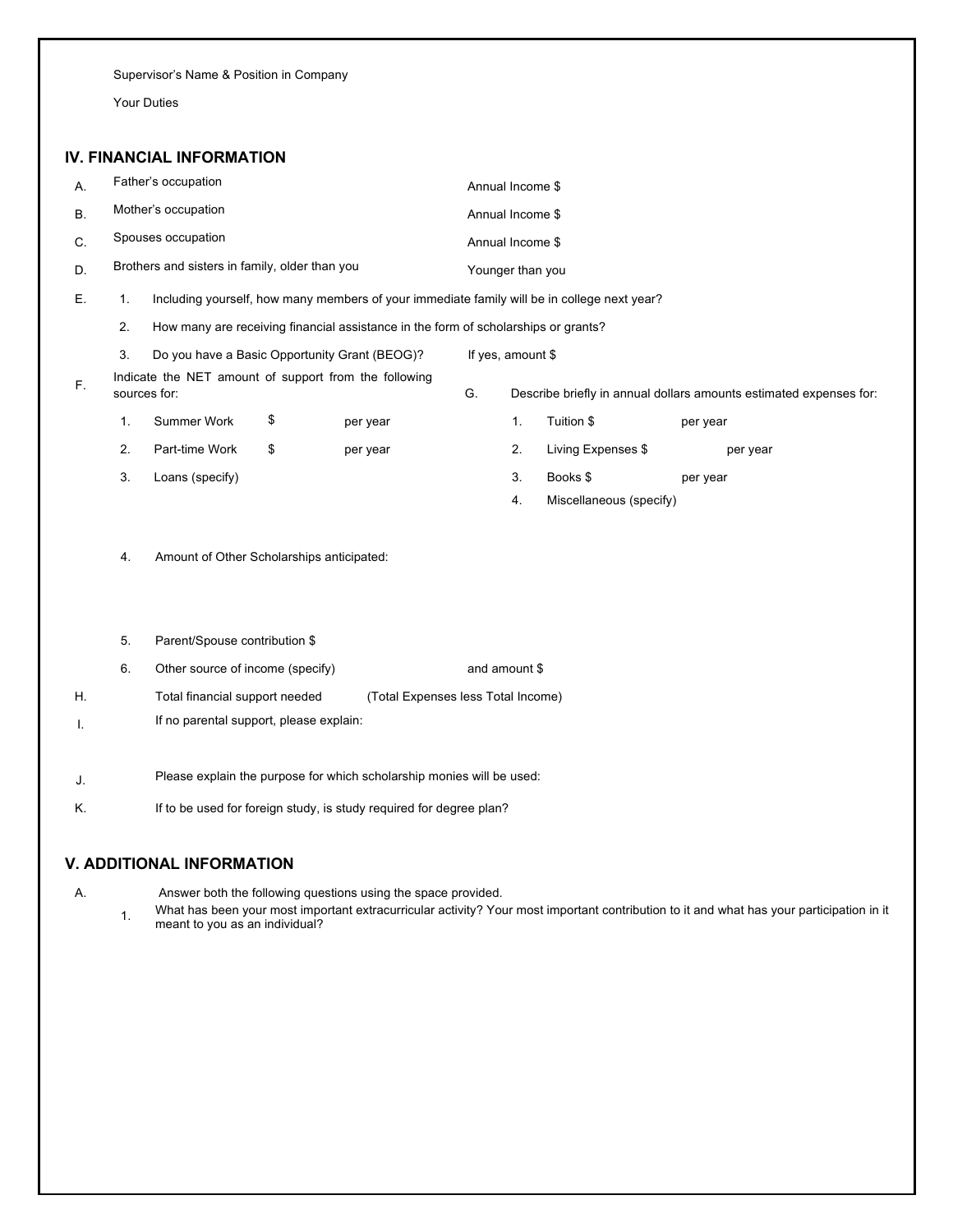Supervisor's Name & Position in Company

Your Duties

### **IV. FINANCIAL INFORMATION**

| А. |                     | Father's occupation                            |    |                                                                                             |    | Annual Income \$  |                         |                                                                    |  |  |  |
|----|---------------------|------------------------------------------------|----|---------------------------------------------------------------------------------------------|----|-------------------|-------------------------|--------------------------------------------------------------------|--|--|--|
| В. | Mother's occupation |                                                |    |                                                                                             |    | Annual Income \$  |                         |                                                                    |  |  |  |
| C. |                     | Spouses occupation                             |    |                                                                                             |    | Annual Income \$  |                         |                                                                    |  |  |  |
| D. |                     | Brothers and sisters in family, older than you |    |                                                                                             |    | Younger than you  |                         |                                                                    |  |  |  |
| Ε. | 1.                  |                                                |    | Including yourself, how many members of your immediate family will be in college next year? |    |                   |                         |                                                                    |  |  |  |
|    | 2.                  |                                                |    | How many are receiving financial assistance in the form of scholarships or grants?          |    |                   |                         |                                                                    |  |  |  |
|    | 3.                  |                                                |    | Do you have a Basic Opportunity Grant (BEOG)?                                               |    | If yes, amount \$ |                         |                                                                    |  |  |  |
| F. |                     | sources for:                                   |    | Indicate the NET amount of support from the following                                       | G. |                   |                         | Describe briefly in annual dollars amounts estimated expenses for: |  |  |  |
|    | 1.                  | Summer Work                                    | \$ | per year                                                                                    |    | 1.                | Tuition \$              | per year                                                           |  |  |  |
|    | 2.                  | Part-time Work                                 | \$ | per year                                                                                    |    | 2.                | Living Expenses \$      | per year                                                           |  |  |  |
|    | 3.                  | Loans (specify)                                |    |                                                                                             |    | 3.                | Books \$                | per year                                                           |  |  |  |
|    |                     |                                                |    |                                                                                             |    | 4.                | Miscellaneous (specify) |                                                                    |  |  |  |
|    | 4.                  | Amount of Other Scholarships anticipated:      |    |                                                                                             |    |                   |                         |                                                                    |  |  |  |
|    | 5.                  | Parent/Spouse contribution \$                  |    |                                                                                             |    |                   |                         |                                                                    |  |  |  |
|    | 6.                  | Other source of income (specify)               |    |                                                                                             |    | and amount \$     |                         |                                                                    |  |  |  |
| Η. |                     | Total financial support needed                 |    | (Total Expenses less Total Income)                                                          |    |                   |                         |                                                                    |  |  |  |
| Τ. |                     | If no parental support, please explain:        |    |                                                                                             |    |                   |                         |                                                                    |  |  |  |
| J. |                     |                                                |    | Please explain the purpose for which scholarship monies will be used:                       |    |                   |                         |                                                                    |  |  |  |
| Κ. |                     |                                                |    | If to be used for foreign study, is study required for degree plan?                         |    |                   |                         |                                                                    |  |  |  |
|    |                     | <b>V. ADDITIONAL INFORMATION</b>               |    |                                                                                             |    |                   |                         |                                                                    |  |  |  |

A. Answer both the following questions using the space provided.

1. What has been your most important extracurricular activity? Your most important contribution to it and what has your participation in it meant to you as an individual?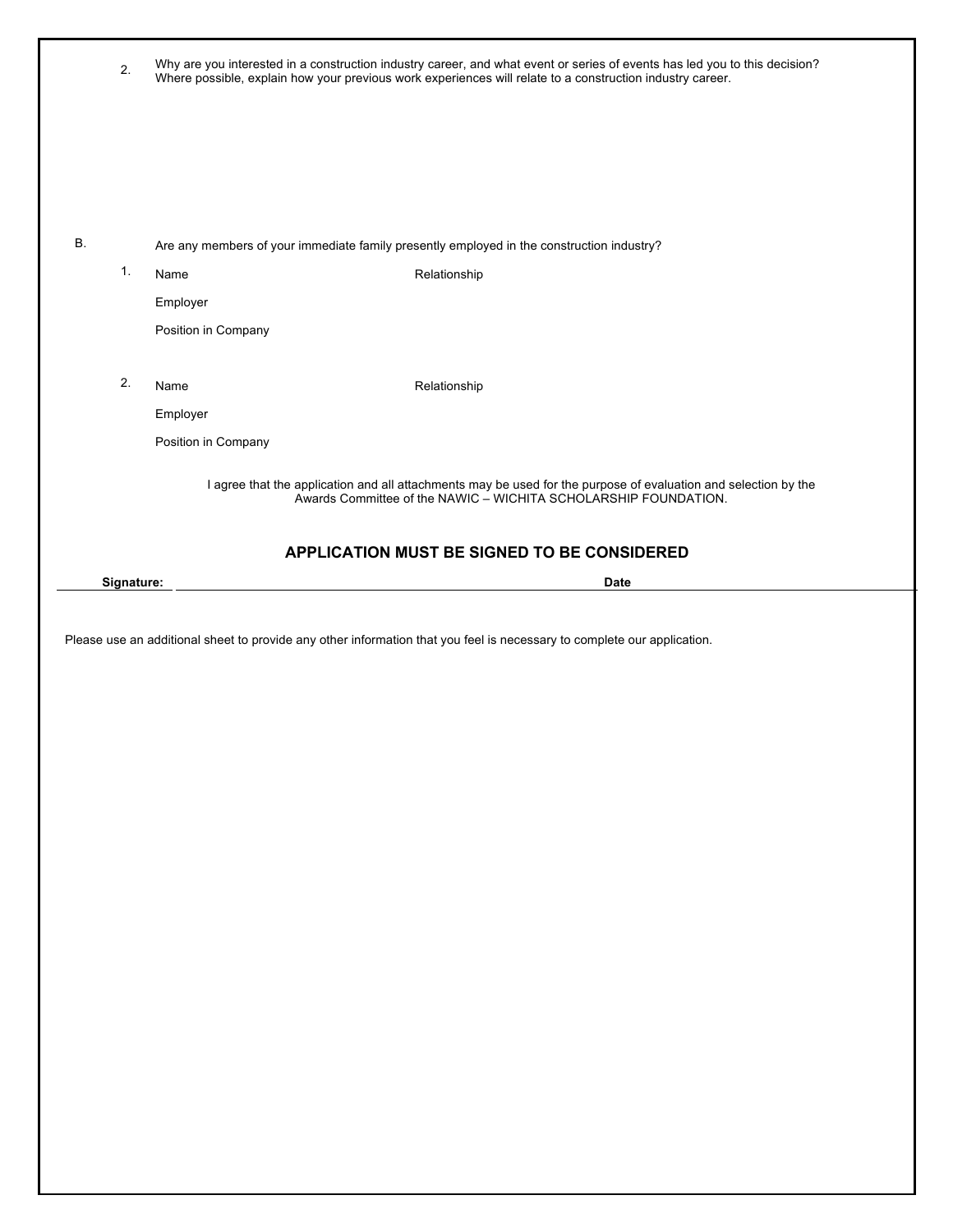|    | 2.         |                     | Why are you interested in a construction industry career, and what event or series of events has led you to this decision?<br>Where possible, explain how your previous work experiences will relate to a construction industry career. |
|----|------------|---------------------|-----------------------------------------------------------------------------------------------------------------------------------------------------------------------------------------------------------------------------------------|
|    |            |                     |                                                                                                                                                                                                                                         |
|    |            |                     |                                                                                                                                                                                                                                         |
| В. |            |                     | Are any members of your immediate family presently employed in the construction industry?                                                                                                                                               |
|    | 1.         | Name                | Relationship                                                                                                                                                                                                                            |
|    |            | Employer            |                                                                                                                                                                                                                                         |
|    |            | Position in Company |                                                                                                                                                                                                                                         |
|    | 2.         | Name                | Relationship                                                                                                                                                                                                                            |
|    |            | Employer            |                                                                                                                                                                                                                                         |
|    |            | Position in Company |                                                                                                                                                                                                                                         |
|    |            |                     | I agree that the application and all attachments may be used for the purpose of evaluation and selection by the<br>Awards Committee of the NAWIC - WICHITA SCHOLARSHIP FOUNDATION.                                                      |
|    |            |                     | APPLICATION MUST BE SIGNED TO BE CONSIDERED                                                                                                                                                                                             |
|    |            |                     |                                                                                                                                                                                                                                         |
|    | Signature: |                     | <b>Date</b>                                                                                                                                                                                                                             |
|    |            |                     |                                                                                                                                                                                                                                         |
|    |            |                     | Please use an additional sheet to provide any other information that you feel is necessary to complete our application.                                                                                                                 |
|    |            |                     |                                                                                                                                                                                                                                         |
|    |            |                     |                                                                                                                                                                                                                                         |
|    |            |                     |                                                                                                                                                                                                                                         |
|    |            |                     |                                                                                                                                                                                                                                         |
|    |            |                     |                                                                                                                                                                                                                                         |
|    |            |                     |                                                                                                                                                                                                                                         |
|    |            |                     |                                                                                                                                                                                                                                         |
|    |            |                     |                                                                                                                                                                                                                                         |
|    |            |                     |                                                                                                                                                                                                                                         |
|    |            |                     |                                                                                                                                                                                                                                         |
|    |            |                     |                                                                                                                                                                                                                                         |
|    |            |                     |                                                                                                                                                                                                                                         |
|    |            |                     |                                                                                                                                                                                                                                         |
|    |            |                     |                                                                                                                                                                                                                                         |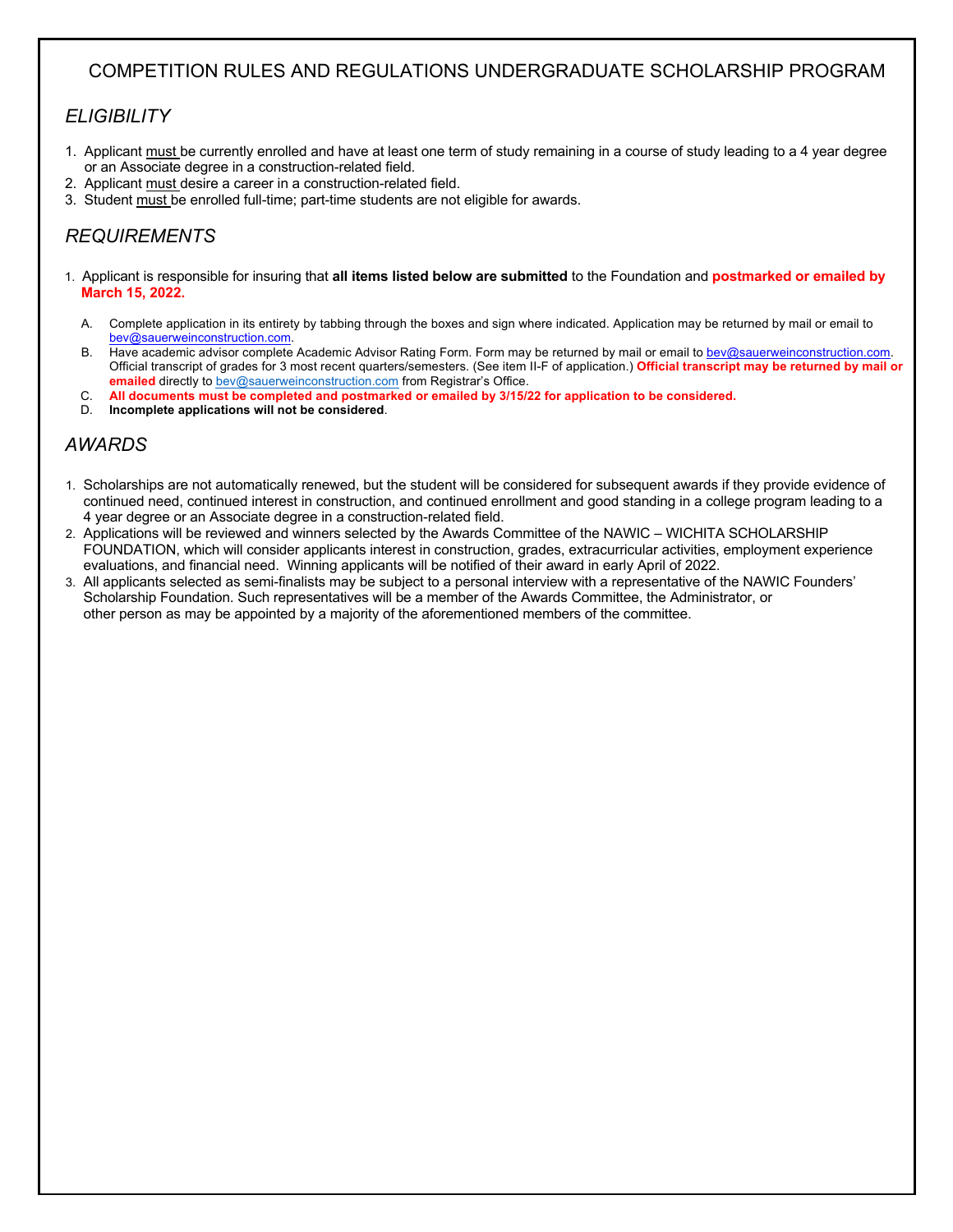# COMPETITION RULES AND REGULATIONS UNDERGRADUATE SCHOLARSHIP PROGRAM

## *ELIGIBILITY*

- 1. Applicant must be currently enrolled and have at least one term of study remaining in a course of study leading to a 4 year degree or an Associate degree in a construction-related field.
- 2. Applicant must desire a career in a construction-related field.
- 3. Student must be enrolled full-time; part-time students are not eligible for awards.

# *REQUIREMENTS*

- 1. Applicant is responsible for insuring that **all items listed below are submitted** to the Foundation and **postmarked or emailed by March 15, 2022.**
	- A. Complete application in its entirety by tabbing through the boxes and sign where indicated. Application may be returned by mail or email to bev@sauerweinconstruction.com.
	- B. Have academic advisor complete Academic Advisor Rating Form. Form may be returned by mail or email to bev@sauerweinconstruction.com. Official transcript of grades for 3 most recent quarters/semesters. (See item II-F of application.) **Official transcript may be returned by mail or emailed** directly to bev@sauerweinconstruction.com from Registrar's Office.
	- C. **All documents must be completed and postmarked or emailed by 3/15/22 for application to be considered.**
	- D. **Incomplete applications will not be considered**.

## *AWARDS*

- 1. Scholarships are not automatically renewed, but the student will be considered for subsequent awards if they provide evidence of continued need, continued interest in construction, and continued enrollment and good standing in a college program leading to a 4 year degree or an Associate degree in a construction-related field.
- 2. Applications will be reviewed and winners selected by the Awards Committee of the NAWIC WICHITA SCHOLARSHIP FOUNDATION, which will consider applicants interest in construction, grades, extracurricular activities, employment experience evaluations, and financial need. Winning applicants will be notified of their award in early April of 2022.
- 3. All applicants selected as semi-finalists may be subject to a personal interview with a representative of the NAWIC Founders' Scholarship Foundation. Such representatives will be a member of the Awards Committee, the Administrator, or other person as may be appointed by a majority of the aforementioned members of the committee.